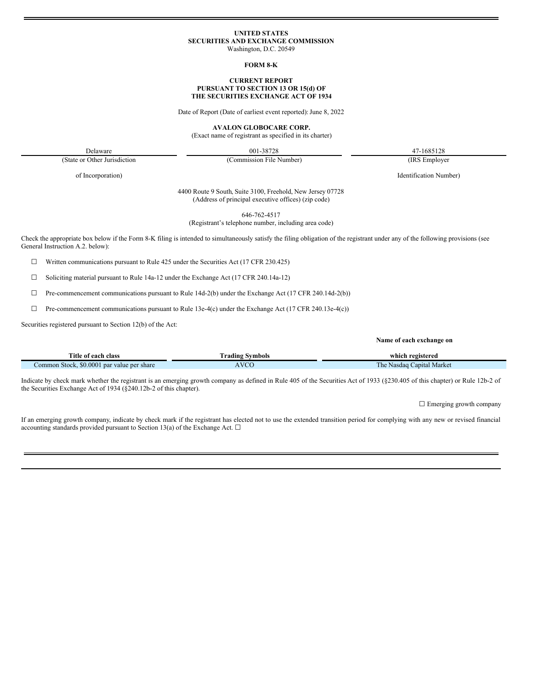# **UNITED STATES SECURITIES AND EXCHANGE COMMISSION**

Washington, D.C. 20549

## **FORM 8-K**

### **CURRENT REPORT PURSUANT TO SECTION 13 OR 15(d) OF THE SECURITIES EXCHANGE ACT OF 1934**

Date of Report (Date of earliest event reported): June 8, 2022

**AVALON GLOBOCARE CORP.**

(Exact name of registrant as specified in its charter)

Delaware 001-38728 47-1685128 (Commission File Number) (IRS Employer

(State or Other Jurisdiction

of Incorporation)

Identification Number)

4400 Route 9 South, Suite 3100, Freehold, New Jersey 07728 (Address of principal executive offices) (zip code)

646-762-4517

(Registrant's telephone number, including area code)

Check the appropriate box below if the Form 8-K filing is intended to simultaneously satisfy the filing obligation of the registrant under any of the following provisions (see General Instruction A.2. below):

 $\Box$  Written communications pursuant to Rule 425 under the Securities Act (17 CFR 230.425)

☐ Soliciting material pursuant to Rule 14a-12 under the Exchange Act (17 CFR 240.14a-12)

 $\Box$  Pre-commencement communications pursuant to Rule 14d-2(b) under the Exchange Act (17 CFR 240.14d-2(b))

 $\Box$  Pre-commencement communications pursuant to Rule 13e-4(c) under the Exchange Act (17 CFR 240.13e-4(c))

Securities registered pursuant to Section 12(b) of the Act:

**Name of each exchange on**

| Title<br><i>t</i> of each class                    | radıng)<br>Symbols | which registered                           |
|----------------------------------------------------|--------------------|--------------------------------------------|
| \$0,0001<br>Common Stock.<br>l par value per share | AVC<br>u           | <b>Market</b><br>l he<br>Nasdag<br>∑apıtal |

Indicate by check mark whether the registrant is an emerging growth company as defined in Rule 405 of the Securities Act of 1933 (§230.405 of this chapter) or Rule 12b-2 of the Securities Exchange Act of 1934 (§240.12b-2 of this chapter).

□ Emerging growth company

If an emerging growth company, indicate by check mark if the registrant has elected not to use the extended transition period for complying with any new or revised financial accounting standards provided pursuant to Section 13(a) of the Exchange Act.  $\Box$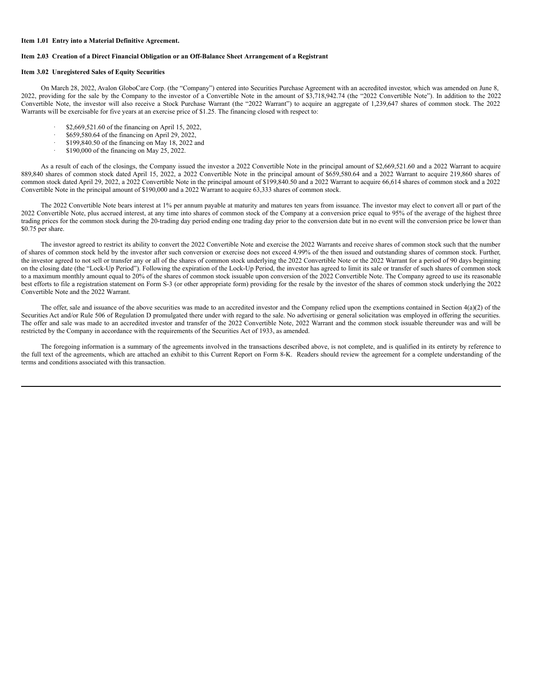#### **Item 1.01 Entry into a Material Definitive Agreement.**

## **Item 2.03 Creation of a Direct Financial Obligation or an Off-Balance Sheet Arrangement of a Registrant**

#### **Item 3.02 Unregistered Sales of Equity Securities**

On March 28, 2022, Avalon GloboCare Corp. (the "Company") entered into Securities Purchase Agreement with an accredited investor, which was amended on June 8, 2022, providing for the sale by the Company to the investor of a Convertible Note in the amount of \$3,718,942.74 (the "2022 Convertible Note"). In addition to the 2022 Convertible Note, the investor will also receive a Stock Purchase Warrant (the "2022 Warrant") to acquire an aggregate of 1,239,647 shares of common stock. The 2022 Warrants will be exercisable for five years at an exercise price of \$1.25. The financing closed with respect to:

- · \$2,669,521.60 of the financing on April 15, 2022,
- $\frac{$659,580.64$}{109,840,50 \text{ of the financing on May } 18,2022,}$
- · \$199,840.50 of the financing on May 18, 2022 and
- · \$190,000 of the financing on May 25, 2022.

As a result of each of the closings, the Company issued the investor a 2022 Convertible Note in the principal amount of \$2,669,521.60 and a 2022 Warrant to acquire 889,840 shares of common stock dated April 15, 2022, a 2022 Convertible Note in the principal amount of \$659,580.64 and a 2022 Warrant to acquire 219,860 shares of common stock dated April 29, 2022, a 2022 Convertible Note in the principal amount of \$199,840.50 and a 2022 Warrant to acquire 66,614 shares of common stock and a 2022 Convertible Note in the principal amount of \$190,000 and a 2022 Warrant to acquire 63,333 shares of common stock.

The 2022 Convertible Note bears interest at 1% per annum payable at maturity and matures ten years from issuance. The investor may elect to convert all or part of the 2022 Convertible Note, plus accrued interest, at any time into shares of common stock of the Company at a conversion price equal to 95% of the average of the highest three trading prices for the common stock during the 20-trading day period ending one trading day prior to the conversion date but in no event will the conversion price be lower than \$0.75 per share.

The investor agreed to restrict its ability to convert the 2022 Convertible Note and exercise the 2022 Warrants and receive shares of common stock such that the number of shares of common stock held by the investor after such conversion or exercise does not exceed 4.99% of the then issued and outstanding shares of common stock. Further, the investor agreed to not sell or transfer any or all of the shares of common stock underlying the 2022 Convertible Note or the 2022 Warrant for a period of 90 days beginning on the closing date (the "Lock-Up Period"). Following the expiration of the Lock-Up Period, the investor has agreed to limit its sale or transfer of such shares of common stock to a maximum monthly amount equal to 20% of the shares of common stock issuable upon conversion of the 2022 Convertible Note. The Company agreed to use its reasonable best efforts to file a registration statement on Form S-3 (or other appropriate form) providing for the resale by the investor of the shares of common stock underlying the 2022 Convertible Note and the 2022 Warrant.

The offer, sale and issuance of the above securities was made to an accredited investor and the Company relied upon the exemptions contained in Section 4(a)(2) of the Securities Act and/or Rule 506 of Regulation D promulgated there under with regard to the sale. No advertising or general solicitation was employed in offering the securities. The offer and sale was made to an accredited investor and transfer of the 2022 Convertible Note, 2022 Warrant and the common stock issuable thereunder was and will be restricted by the Company in accordance with the requirements of the Securities Act of 1933, as amended.

The foregoing information is a summary of the agreements involved in the transactions described above, is not complete, and is qualified in its entirety by reference to the full text of the agreements, which are attached an exhibit to this Current Report on Form 8-K. Readers should review the agreement for a complete understanding of the terms and conditions associated with this transaction.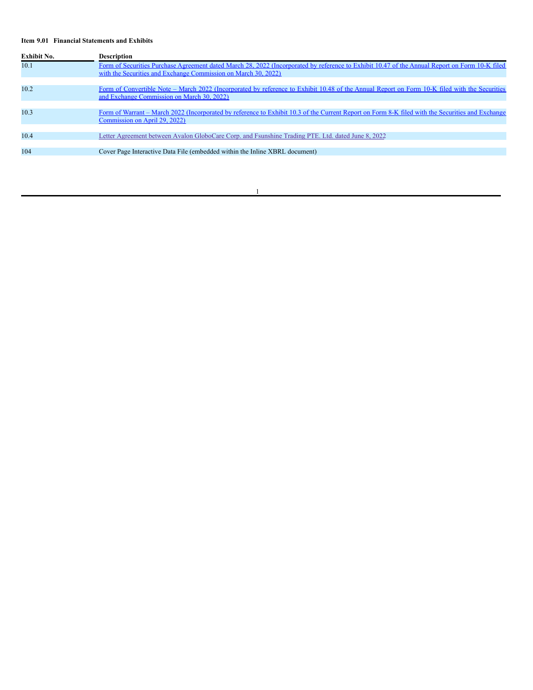#### **Item 9.01 Financial Statements and Exhibits**

| <b>Exhibit No.</b> | <b>Description</b>                                                                                                                                                                                               |
|--------------------|------------------------------------------------------------------------------------------------------------------------------------------------------------------------------------------------------------------|
| 10.1               | Form of Securities Purchase Agreement dated March 28, 2022 (Incorporated by reference to Exhibit 10.47 of the Annual Report on Form 10-K filed<br>with the Securities and Exchange Commission on March 30, 2022) |
|                    |                                                                                                                                                                                                                  |
| 10.2               | Form of Convertible Note – March 2022 (Incorporated by reference to Exhibit 10.48 of the Annual Report on Form 10-K filed with the Securities<br>and Exchange Commission on March 30, 2022)                      |
|                    |                                                                                                                                                                                                                  |
| 10.3               | Form of Warrant – March 2022 (Incorporated by reference to Exhibit 10.3 of the Current Report on Form 8-K filed with the Securities and Exchange<br>Commission on April 29, 2022)                                |
|                    |                                                                                                                                                                                                                  |
| 10.4               | Letter Agreement between Avalon GloboCare Corp. and Fsunshine Trading PTE. Ltd. dated June 8, 2022                                                                                                               |
| 104                | Cover Page Interactive Data File (embedded within the Inline XBRL document)                                                                                                                                      |

## 1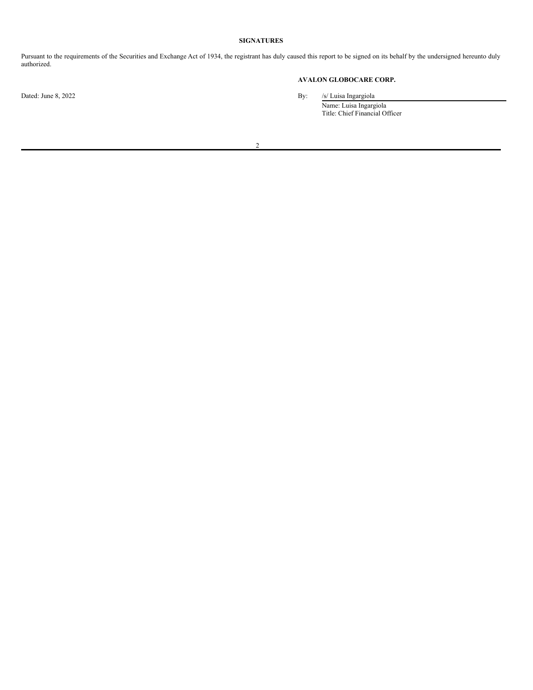# **SIGNATURES**

Pursuant to the requirements of the Securities and Exchange Act of 1934, the registrant has duly caused this report to be signed on its behalf by the undersigned hereunto duly authorized.

# **AVALON GLOBOCARE CORP.**

Dated: June 8, 2022 By: /s/ Luisa Ingargiola

Name: Luisa Ingargiola Title: Chief Financial Officer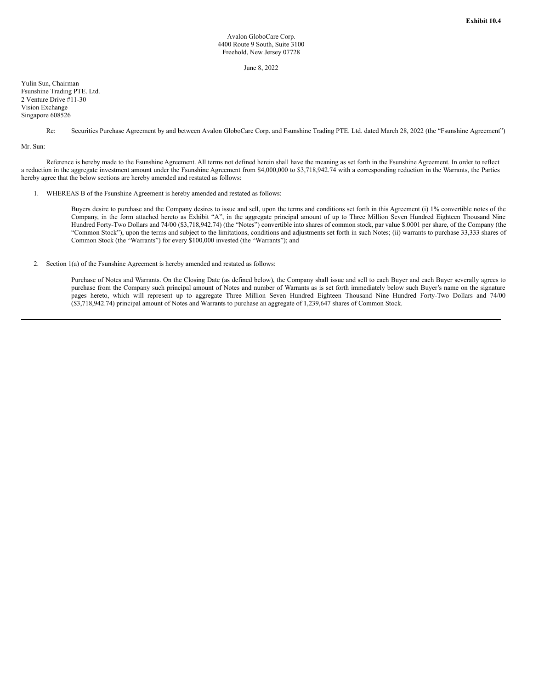#### June 8, 2022

<span id="page-4-0"></span>Yulin Sun, Chairman Fsunshine Trading PTE. Ltd. 2 Venture Drive #11-30 Vision Exchange Singapore 608526

### Re: Securities Purchase Agreement by and between Avalon GloboCare Corp. and Fsunshine Trading PTE. Ltd. dated March 28, 2022 (the "Fsunshine Agreement")

Mr. Sun:

Reference is hereby made to the Fsunshine Agreement. All terms not defined herein shall have the meaning as set forth in the Fsunshine Agreement. In order to reflect a reduction in the aggregate investment amount under the Fsunshine Agreement from \$4,000,000 to \$3,718,942.74 with a corresponding reduction in the Warrants, the Parties hereby agree that the below sections are hereby amended and restated as follows:

1. WHEREAS B of the Fsunshine Agreement is hereby amended and restated as follows:

Buyers desire to purchase and the Company desires to issue and sell, upon the terms and conditions set forth in this Agreement (i) 1% convertible notes of the Company, in the form attached hereto as Exhibit "A", in the aggregate principal amount of up to Three Million Seven Hundred Eighteen Thousand Nine Hundred Forty-Two Dollars and 74/00 (\$3,718,942.74) (the "Notes") convertible into shares of common stock, par value \$.0001 per share, of the Company (the "Common Stock"), upon the terms and subject to the limitations, conditions and adjustments set forth in such Notes; (ii) warrants to purchase 33,333 shares of Common Stock (the "Warrants") for every \$100,000 invested (the "Warrants"); and

2. Section 1(a) of the Fsunshine Agreement is hereby amended and restated as follows:

Purchase of Notes and Warrants. On the Closing Date (as defined below), the Company shall issue and sell to each Buyer and each Buyer severally agrees to purchase from the Company such principal amount of Notes and number of Warrants as is set forth immediately below such Buyer's name on the signature pages hereto, which will represent up to aggregate Three Million Seven Hundred Eighteen Thousand Nine Hundred Forty-Two Dollars and 74/00 (\$3,718,942.74) principal amount of Notes and Warrants to purchase an aggregate of 1,239,647 shares of Common Stock.